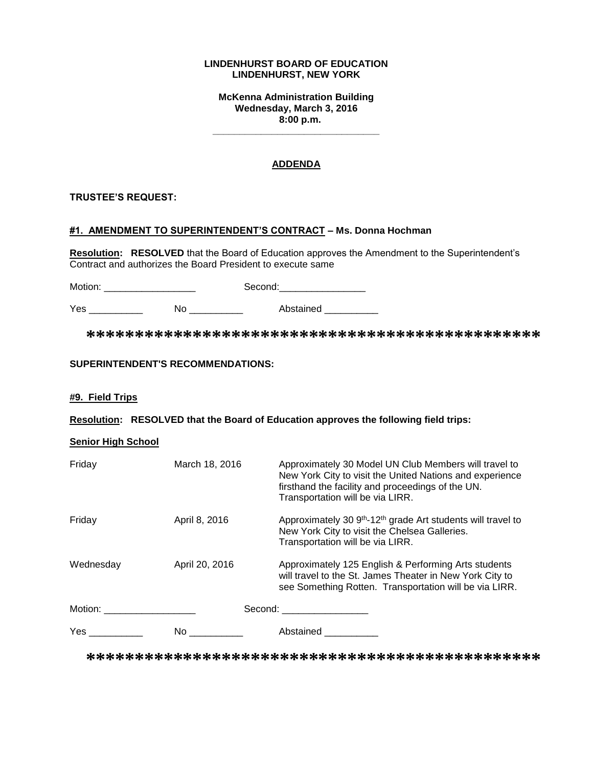#### **LINDENHURST BOARD OF EDUCATION LINDENHURST, NEW YORK**

**McKenna Administration Building Wednesday, March 3, 2016 8:00 p.m.**

**\_\_\_\_\_\_\_\_\_\_\_\_\_\_\_\_\_\_\_\_\_\_\_\_\_\_\_\_\_\_\_**

## **ADDENDA**

## **TRUSTEE'S REQUEST:**

#### **#1. AMENDMENT TO SUPERINTENDENT'S CONTRACT – Ms. Donna Hochman**

**Resolution: RESOLVED** that the Board of Education approves the Amendment to the Superintendent's Contract and authorizes the Board President to execute same

Motion: \_\_\_\_\_\_\_\_\_\_\_\_\_\_\_\_\_ Second:\_\_\_\_\_\_\_\_\_\_\_\_\_\_\_\_

Yes \_\_\_\_\_\_\_\_\_\_\_\_ No \_\_\_\_\_\_\_\_\_\_ Abstained \_\_\_\_\_\_\_\_\_

**\*\*\*\*\*\*\*\*\*\*\*\*\*\*\*\*\*\*\*\*\*\*\*\*\*\*\*\*\*\*\*\*\*\*\*\*\*\*\*\*\*\*\*\*\*\*\***

#### **SUPERINTENDENT'S RECOMMENDATIONS:**

#### **#9. Field Trips**

**Resolution: RESOLVED that the Board of Education approves the following field trips:**

#### **Senior High School**

| Friday                                                                                                         | March 18, 2016 | Approximately 30 Model UN Club Members will travel to<br>New York City to visit the United Nations and experience<br>firsthand the facility and proceedings of the UN.<br>Transportation will be via LIRR. |
|----------------------------------------------------------------------------------------------------------------|----------------|------------------------------------------------------------------------------------------------------------------------------------------------------------------------------------------------------------|
| Friday                                                                                                         | April 8, 2016  | Approximately 30 9 <sup>th</sup> -12 <sup>th</sup> grade Art students will travel to<br>New York City to visit the Chelsea Galleries.<br>Transportation will be via LIRR.                                  |
| Wednesday                                                                                                      | April 20, 2016 | Approximately 125 English & Performing Arts students<br>will travel to the St. James Theater in New York City to<br>see Something Rotten. Transportation will be via LIRR.                                 |
| Motion: will be a series of the series of the series of the series of the series of the series of the series o |                | Second: ____________________                                                                                                                                                                               |
| Yes $_{-}$                                                                                                     | No.            | Abstained                                                                                                                                                                                                  |

**\*\*\*\*\*\*\*\*\*\*\*\*\*\*\*\*\*\*\*\*\*\*\*\*\*\*\*\*\*\*\*\*\*\*\*\*\*\*\*\*\*\*\*\*\*\*\***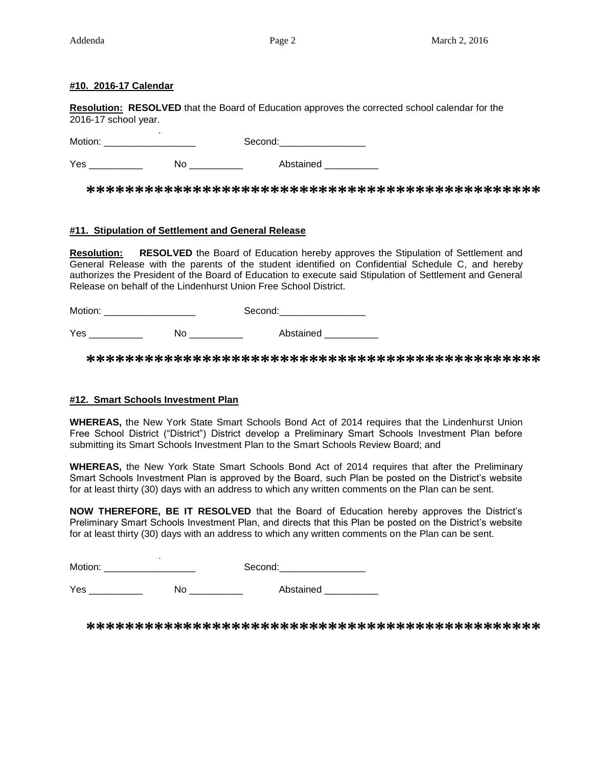## **#10. 2016-17 Calendar**

**Resolution: RESOLVED** that the Board of Education approves the corrected school calendar for the 2016-17 school year.

 . Motion: \_\_\_\_\_\_\_\_\_\_\_\_\_\_\_\_\_ Second:\_\_\_\_\_\_\_\_\_\_\_\_\_\_\_\_

Yes \_\_\_\_\_\_\_\_\_\_ No \_\_\_\_\_\_\_\_\_\_ Abstained \_\_\_\_\_\_\_\_\_\_

**\*\*\*\*\*\*\*\*\*\*\*\*\*\*\*\*\*\*\*\*\*\*\*\*\*\*\*\*\*\*\*\*\*\*\*\*\*\*\*\*\*\*\*\*\*\*\***

## **#11. Stipulation of Settlement and General Release**

**Resolution: RESOLVED** the Board of Education hereby approves the Stipulation of Settlement and General Release with the parents of the student identified on Confidential Schedule C, and hereby authorizes the President of the Board of Education to execute said Stipulation of Settlement and General Release on behalf of the Lindenhurst Union Free School District.

Motion: \_\_\_\_\_\_\_\_\_\_\_\_\_\_\_\_\_ Second:\_\_\_\_\_\_\_\_\_\_\_\_\_\_\_\_

Yes \_\_\_\_\_\_\_\_\_\_ No \_\_\_\_\_\_\_\_\_\_ Abstained \_\_\_\_\_\_\_\_\_\_

**\*\*\*\*\*\*\*\*\*\*\*\*\*\*\*\*\*\*\*\*\*\*\*\*\*\*\*\*\*\*\*\*\*\*\*\*\*\*\*\*\*\*\*\*\*\*\***

# **#12. Smart Schools Investment Plan**

**WHEREAS,** the New York State Smart Schools Bond Act of 2014 requires that the Lindenhurst Union Free School District ("District") District develop a Preliminary Smart Schools Investment Plan before submitting its Smart Schools Investment Plan to the Smart Schools Review Board; and

**WHEREAS,** the New York State Smart Schools Bond Act of 2014 requires that after the Preliminary Smart Schools Investment Plan is approved by the Board, such Plan be posted on the District's website for at least thirty (30) days with an address to which any written comments on the Plan can be sent.

**NOW THEREFORE, BE IT RESOLVED** that the Board of Education hereby approves the District's Preliminary Smart Schools Investment Plan, and directs that this Plan be posted on the District's website for at least thirty (30) days with an address to which any written comments on the Plan can be sent.

Motion: Motion: \_\_\_\_\_\_\_\_\_\_\_\_\_\_\_\_\_ Second:\_\_\_\_\_\_\_\_\_\_\_\_\_\_\_\_

Yes \_\_\_\_\_\_\_\_\_\_\_\_ No \_\_\_\_\_\_\_\_\_\_ Abstained \_\_\_\_\_\_\_\_\_\_

**\*\*\*\*\*\*\*\*\*\*\*\*\*\*\*\*\*\*\*\*\*\*\*\*\*\*\*\*\*\*\*\*\*\*\*\*\*\*\*\*\*\*\*\*\*\*\***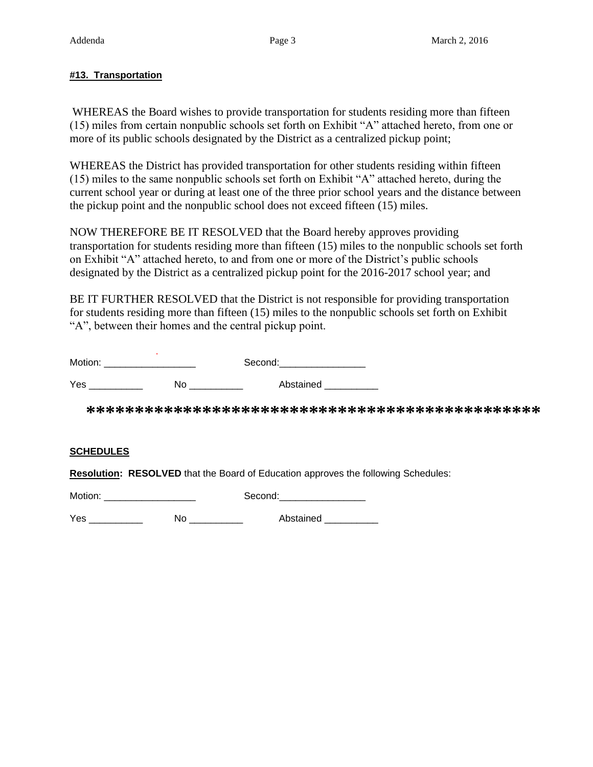# **#13. Transportation**

WHEREAS the Board wishes to provide transportation for students residing more than fifteen (15) miles from certain nonpublic schools set forth on Exhibit "A" attached hereto, from one or more of its public schools designated by the District as a centralized pickup point;

WHEREAS the District has provided transportation for other students residing within fifteen (15) miles to the same nonpublic schools set forth on Exhibit "A" attached hereto, during the current school year or during at least one of the three prior school years and the distance between the pickup point and the nonpublic school does not exceed fifteen (15) miles.

NOW THEREFORE BE IT RESOLVED that the Board hereby approves providing transportation for students residing more than fifteen (15) miles to the nonpublic schools set forth on Exhibit "A" attached hereto, to and from one or more of the District's public schools designated by the District as a centralized pickup point for the 2016-2017 school year; and

BE IT FURTHER RESOLVED that the District is not responsible for providing transportation for students residing more than fifteen (15) miles to the nonpublic schools set forth on Exhibit "A", between their homes and the central pickup point.

| Motion: |    | Second:   |  |
|---------|----|-----------|--|
| Yes     | No | Abstained |  |

**\*\*\*\*\*\*\*\*\*\*\*\*\*\*\*\*\*\*\*\*\*\*\*\*\*\*\*\*\*\*\*\*\*\*\*\*\*\*\*\*\*\*\*\*\*\*\***

# **SCHEDULES**

**Resolution: RESOLVED** that the Board of Education approves the following Schedules:

Motion: example of the second: Second:

Yes \_\_\_\_\_\_\_\_\_\_\_\_ No \_\_\_\_\_\_\_\_\_\_ Abstained \_\_\_\_\_\_\_\_\_\_